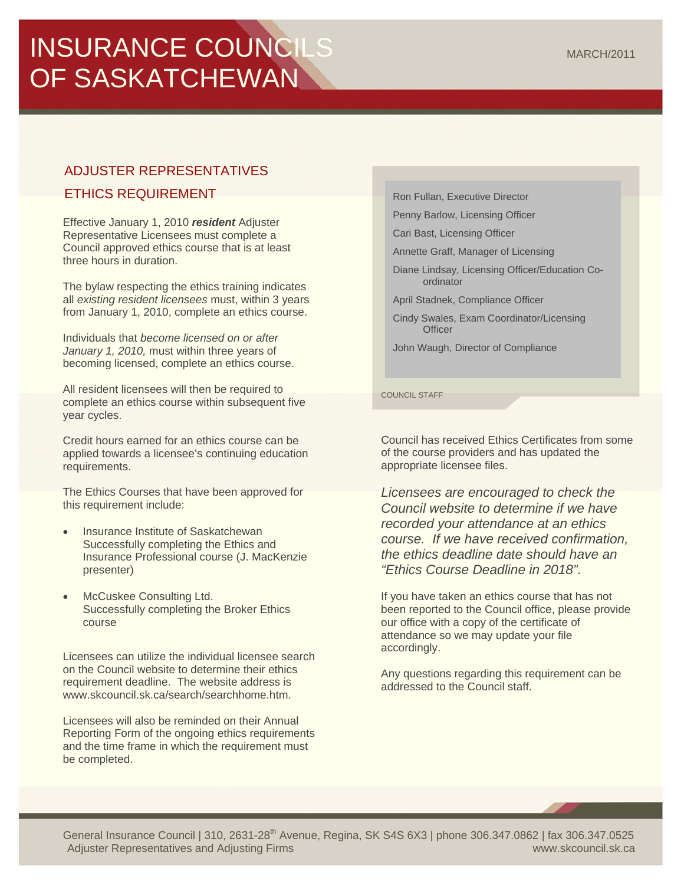# INSURANCE COUNCILS OF SASKATCHEWAN

## ADJUSTER REPRESENTATIVES

## ETHICS REQUIREMENT

Effective January 1, 2010 *resident* Adjuster Representative Licensees must complete a Council approved ethics course that is at least three hours in duration.

The bylaw respecting the ethics training indicates all *existing resident licensees* must, within 3 years from January 1, 2010, complete an ethics course.

Individuals that *become licensed on or after January 1, 2010,* must within three years of becoming licensed, complete an ethics course.

All resident licensees will then be required to complete an ethics course within subsequent five year cycles.

Credit hours earned for an ethics course can be applied towards a licensee's continuing education requirements.

The Ethics Courses that have been approved for this requirement include:

- Insurance Institute of Saskatchewan Successfully completing the Ethics and Insurance Professional course (J. MacKenzie presenter)
- McCuskee Consulting Ltd. Successfully completing the Broker Ethics course

Licensees can utilize the individual licensee search on the Council website to determine their ethics requirement deadline. The website address is www.skcouncil.sk.ca/search/searchhome.htm.

Licensees will also be reminded on their Annual Reporting Form of the ongoing ethics requirements and the time frame in which the requirement must be completed.

Ron Fullan, Executive Director

Penny Barlow, Licensing Officer

Cari Bast, Licensing Officer

Annette Graff, Manager of Licensing

Diane Lindsay, Licensing Officer/Education Coordinator

April Stadnek, Compliance Officer

Cindy Swales, Exam Coordinator/Licensing **Officer** 

John Waugh, Director of Compliance

COUNCIL STAFF

Council has received Ethics Certificates from some of the course providers and has updated the appropriate licensee files.

*Licensees are encouraged to check the Council website to determine if we have recorded your attendance at an ethics course. If we have received confirmation, the ethics deadline date should have an "Ethics Course Deadline in 2018".*

If you have taken an ethics course that has not been reported to the Council office, please provide our office with a copy of the certificate of attendance so we may update your file accordingly.

Any questions regarding this requirement can be addressed to the Council staff.

General Insurance Council | 310, 2631-28<sup>th</sup> Avenue, Regina, SK S4S 6X3 | phone 306.347.0862 | fax 306.347.0525 Adjuster Representatives and Adjusting Firms www.skcouncil.sk.ca